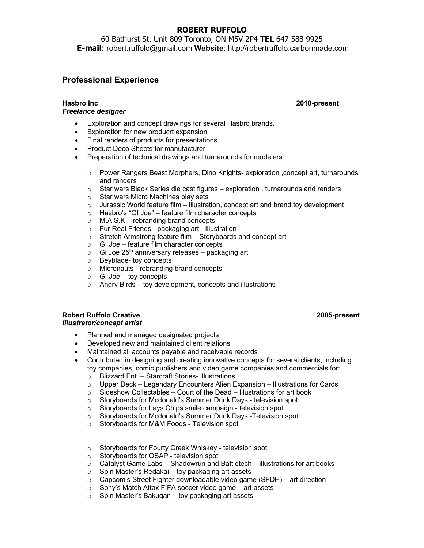# **ROBERT RUFFOLO**

60 Bathurst St. Unit 809 Toronto, ON M5V 2P4 **TEL** 647 588 9925 **E-mail**: robert.ruffolo@gmail.com **Website**: http://robertruffolo.carbonmade.com

# **Professional Experience**

## *Freelance designer*

- Exploration and concept drawings for several Hasbro brands.
- Exploration for new producrt expansion
- Final renders of products for presentations.
- Product Deco Sheets for manufacturer
- Preperation of technical drawings and turnarounds for modelers.
	- o Power Rangers Beast Morphers, Dino Knights- exploration ,concept art, turnarounds and renders
	- $\circ$  Star wars Black Series die cast figures exploration, turnarounds and renders
	- o Star wars Micro Machines play sets
	- $\circ$  Jurassic World feature film illustration, concept art and brand toy development
	- o Hasbro's "GI Joe" feature film character concepts
	- o M.A.S.K rebranding brand concepts
	- o Fur Real Friends packaging art Illustration
	- $\circ$  Stretch Armstrong feature film Storyboards and concept art  $\circ$  GI Joe feature film character concepts
	- GI Joe feature film character concepts
	- $\circ$  Gi Joe 25<sup>th</sup> anniversary releases packaging art
	- o Beyblade- toy concepts
	- o Micronauts rebranding brand concepts
	- o GI Joe"– toy concepts
	- $\circ$  Angry Birds toy development, concepts and illustrations

### **Robert Ruffolo Creative 2005-present**  *Illustrator/concept artist*

- Planned and managed designated projects
- Developed new and maintained client relations
- Maintained all accounts payable and receivable records
- Contributed in designing and creating innovative concepts for several clients, including toy companies, comic publishers and video game companies and commercials for:
	- o Blizzard Ent. Starcraft Stories- Illustrations
	- o Upper Deck Legendary Encounters Alien Expansion Illustrations for Cards
	- $\circ$  Sideshow Collectables Court of the Dead Illustrations for art book
	- o Storyboards for Mcdonald's Summer Drink Days television spot<br>○ Storyboards for Lays Chips smile campaign television spot
	- ⊙ Storyboards for Lays Chips smile campaign television spot<br>○ Storyboards for Mcdonald's Summer Drink Days -Television
	- Storyboards for Mcdonald's Summer Drink Days -Television spot
	- o Storyboards for M&M Foods Television spot
	- o Storyboards for Fourty Creek Whiskey television spot<br>○ Storyboards for OSAP television spot
	- Storyboards for OSAP television spot
	- $\circ$  Catalyst Game Labs Shadowrun and Battletech illustrations for art books
	- o Spin Master's Redakai toy packaging art assets
	- o Capcom's Street Fighter downloadable video game (SFDH) art direction
	- o Sony's Match Attax FIFA soccer video game art assets
	- o Spin Master's Bakugan toy packaging art assets

**Hasbro Inc 2010-present**